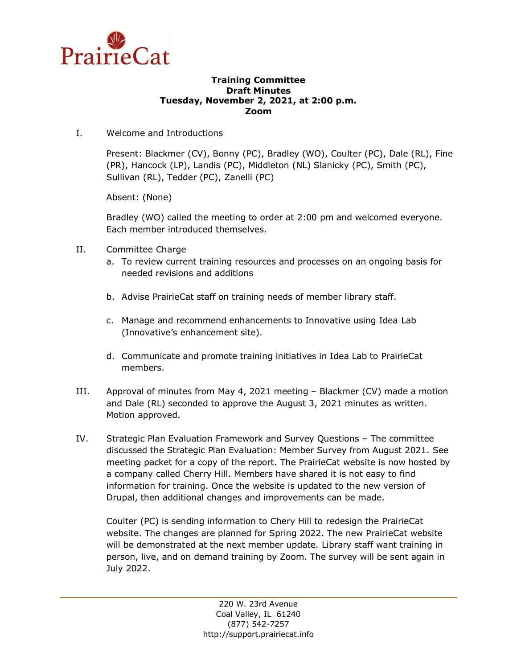

## **Training Committee Draft Minutes Tuesday, November 2, 2021, at 2:00 p.m. Zoom**

I. Welcome and Introductions

Present: Blackmer (CV), Bonny (PC), Bradley (WO), Coulter (PC), Dale (RL), Fine (PR), Hancock (LP), Landis (PC), Middleton (NL) Slanicky (PC), Smith (PC), Sullivan (RL), Tedder (PC), Zanelli (PC)

Absent: (None)

Bradley (WO) called the meeting to order at 2:00 pm and welcomed everyone. Each member introduced themselves.

- II. Committee Charge
	- a. To review current training resources and processes on an ongoing basis for needed revisions and additions
	- b. Advise PrairieCat staff on training needs of member library staff.
	- c. Manage and recommend enhancements to Innovative using Idea Lab (Innovative's enhancement site).
	- d. Communicate and promote training initiatives in Idea Lab to PrairieCat members.
- III. Approval of minutes from May 4, 2021 meeting Blackmer (CV) made a motion and Dale (RL) seconded to approve the August 3, 2021 minutes as written. Motion approved.
- IV. Strategic Plan Evaluation Framework and Survey Questions The committee discussed the Strategic Plan Evaluation: Member Survey from August 2021. See meeting packet for a copy of the report. The PrairieCat website is now hosted by a company called Cherry Hill. Members have shared it is not easy to find information for training. Once the website is updated to the new version of Drupal, then additional changes and improvements can be made.

Coulter (PC) is sending information to Chery Hill to redesign the PrairieCat website. The changes are planned for Spring 2022. The new PrairieCat website will be demonstrated at the next member update. Library staff want training in person, live, and on demand training by Zoom. The survey will be sent again in July 2022.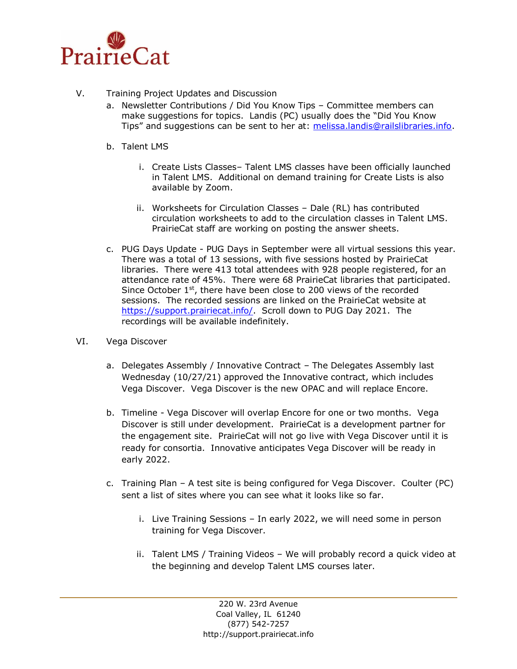

- V. Training Project Updates and Discussion
	- a. Newsletter Contributions / Did You Know Tips Committee members can make suggestions for topics. Landis (PC) usually does the "Did You Know Tips" and suggestions can be sent to her at: [melissa.landis@railslibraries.info.](mailto:melissa.landis@railslibraries.info)
	- b. Talent LMS
		- i. Create Lists Classes– Talent LMS classes have been officially launched in Talent LMS. Additional on demand training for Create Lists is also available by Zoom.
		- ii. Worksheets for Circulation Classes Dale (RL) has contributed circulation worksheets to add to the circulation classes in Talent LMS. PrairieCat staff are working on posting the answer sheets.
	- c. PUG Days Update PUG Days in September were all virtual sessions this year. There was a total of 13 sessions, with five sessions hosted by PrairieCat libraries. There were 413 total attendees with 928 people registered, for an attendance rate of 45%. There were 68 PrairieCat libraries that participated. Since October  $1<sup>st</sup>$ , there have been close to 200 views of the recorded sessions. The recorded sessions are linked on the PrairieCat website at [https://support.prairiecat.info/.](https://support.prairiecat.info/) Scroll down to PUG Day 2021. The recordings will be available indefinitely.
- VI. Vega Discover
	- a. Delegates Assembly / Innovative Contract The Delegates Assembly last Wednesday (10/27/21) approved the Innovative contract, which includes Vega Discover. Vega Discover is the new OPAC and will replace Encore.
	- b. Timeline Vega Discover will overlap Encore for one or two months. Vega Discover is still under development. PrairieCat is a development partner for the engagement site. PrairieCat will not go live with Vega Discover until it is ready for consortia. Innovative anticipates Vega Discover will be ready in early 2022.
	- c. Training Plan A test site is being configured for Vega Discover. Coulter (PC) sent a list of sites where you can see what it looks like so far.
		- i. Live Training Sessions In early 2022, we will need some in person training for Vega Discover.
		- ii. Talent LMS / Training Videos We will probably record a quick video at the beginning and develop Talent LMS courses later.